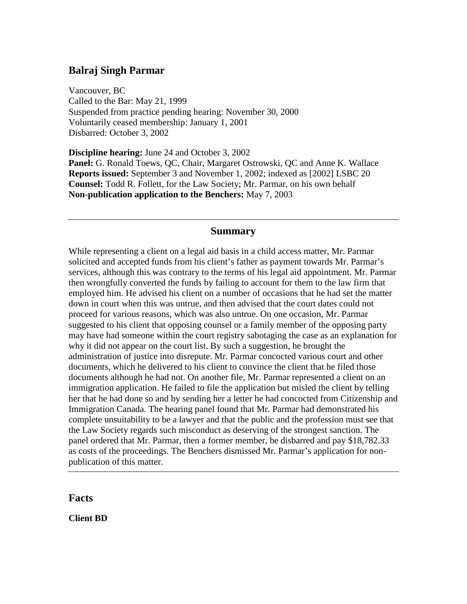## **Balraj Singh Parmar**

Vancouver, BC Called to the Bar: May 21, 1999 Suspended from practice pending hearing: November 30, 2000 Voluntarily ceased membership: January 1, 2001 Disbarred: October 3, 2002

**Discipline hearing:** June 24 and October 3, 2002 **Panel:** G. Ronald Toews, QC, Chair, Margaret Ostrowski, QC and Anne K. Wallace **Reports issued:** September 3 and November 1, 2002; indexed as [2002] LSBC 20 **Counsel:** Todd R. Follett, for the Law Society; Mr. Parmar, on his own behalf **Non-publication application to the Benchers:** May 7, 2003

#### **Summary**

While representing a client on a legal aid basis in a child access matter, Mr. Parmar solicited and accepted funds from his client's father as payment towards Mr. Parmar's services, although this was contrary to the terms of his legal aid appointment. Mr. Parmar then wrongfully converted the funds by failing to account for them to the law firm that employed him. He advised his client on a number of occasions that he had set the matter down in court when this was untrue, and then advised that the court dates could not proceed for various reasons, which was also untrue. On one occasion, Mr. Parmar suggested to his client that opposing counsel or a family member of the opposing party may have had someone within the court registry sabotaging the case as an explanation for why it did not appear on the court list. By such a suggestion, he brought the administration of justice into disrepute. Mr. Parmar concocted various court and other documents, which he delivered to his client to convince the client that he filed those documents although he had not. On another file, Mr. Parmar represented a client on an immigration application. He failed to file the application but misled the client by telling her that he had done so and by sending her a letter he had concocted from Citizenship and Immigration Canada. The hearing panel found that Mr. Parmar had demonstrated his complete unsuitability to be a lawyer and that the public and the profession must see that the Law Society regards such misconduct as deserving of the strongest sanction. The panel ordered that Mr. Parmar, then a former member, be disbarred and pay \$18,782.33 as costs of the proceedings. The Benchers dismissed Mr. Parmar's application for nonpublication of this matter.

#### **Facts**

**Client BD**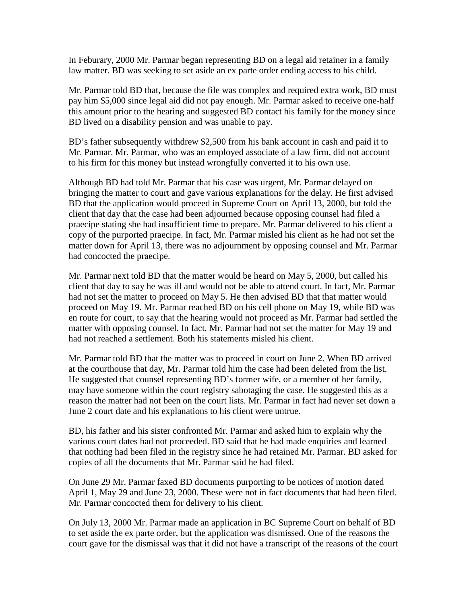In Feburary, 2000 Mr. Parmar began representing BD on a legal aid retainer in a family law matter. BD was seeking to set aside an ex parte order ending access to his child.

Mr. Parmar told BD that, because the file was complex and required extra work, BD must pay him \$5,000 since legal aid did not pay enough. Mr. Parmar asked to receive one-half this amount prior to the hearing and suggested BD contact his family for the money since BD lived on a disability pension and was unable to pay.

BD's father subsequently withdrew \$2,500 from his bank account in cash and paid it to Mr. Parmar. Mr. Parmar, who was an employed associate of a law firm, did not account to his firm for this money but instead wrongfully converted it to his own use.

Although BD had told Mr. Parmar that his case was urgent, Mr. Parmar delayed on bringing the matter to court and gave various explanations for the delay. He first advised BD that the application would proceed in Supreme Court on April 13, 2000, but told the client that day that the case had been adjourned because opposing counsel had filed a praecipe stating she had insufficient time to prepare. Mr. Parmar delivered to his client a copy of the purported praecipe. In fact, Mr. Parmar misled his client as he had not set the matter down for April 13, there was no adjournment by opposing counsel and Mr. Parmar had concocted the praecipe.

Mr. Parmar next told BD that the matter would be heard on May 5, 2000, but called his client that day to say he was ill and would not be able to attend court. In fact, Mr. Parmar had not set the matter to proceed on May 5. He then advised BD that that matter would proceed on May 19. Mr. Parmar reached BD on his cell phone on May 19, while BD was en route for court, to say that the hearing would not proceed as Mr. Parmar had settled the matter with opposing counsel. In fact, Mr. Parmar had not set the matter for May 19 and had not reached a settlement. Both his statements misled his client.

Mr. Parmar told BD that the matter was to proceed in court on June 2. When BD arrived at the courthouse that day, Mr. Parmar told him the case had been deleted from the list. He suggested that counsel representing BD's former wife, or a member of her family, may have someone within the court registry sabotaging the case. He suggested this as a reason the matter had not been on the court lists. Mr. Parmar in fact had never set down a June 2 court date and his explanations to his client were untrue.

BD, his father and his sister confronted Mr. Parmar and asked him to explain why the various court dates had not proceeded. BD said that he had made enquiries and learned that nothing had been filed in the registry since he had retained Mr. Parmar. BD asked for copies of all the documents that Mr. Parmar said he had filed.

On June 29 Mr. Parmar faxed BD documents purporting to be notices of motion dated April 1, May 29 and June 23, 2000. These were not in fact documents that had been filed. Mr. Parmar concocted them for delivery to his client.

On July 13, 2000 Mr. Parmar made an application in BC Supreme Court on behalf of BD to set aside the ex parte order, but the application was dismissed. One of the reasons the court gave for the dismissal was that it did not have a transcript of the reasons of the court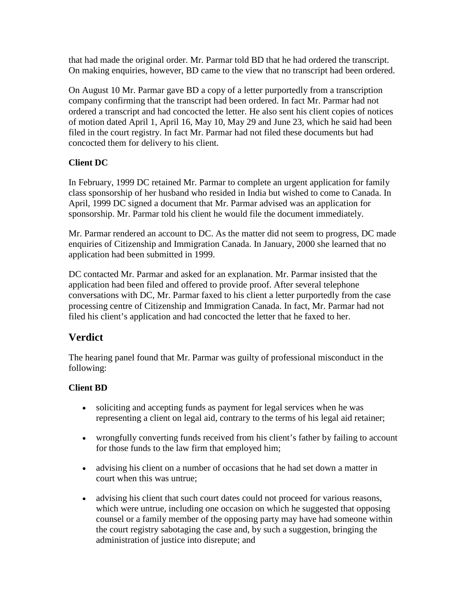that had made the original order. Mr. Parmar told BD that he had ordered the transcript. On making enquiries, however, BD came to the view that no transcript had been ordered.

On August 10 Mr. Parmar gave BD a copy of a letter purportedly from a transcription company confirming that the transcript had been ordered. In fact Mr. Parmar had not ordered a transcript and had concocted the letter. He also sent his client copies of notices of motion dated April 1, April 16, May 10, May 29 and June 23, which he said had been filed in the court registry. In fact Mr. Parmar had not filed these documents but had concocted them for delivery to his client.

## **Client DC**

In February, 1999 DC retained Mr. Parmar to complete an urgent application for family class sponsorship of her husband who resided in India but wished to come to Canada. In April, 1999 DC signed a document that Mr. Parmar advised was an application for sponsorship. Mr. Parmar told his client he would file the document immediately.

Mr. Parmar rendered an account to DC. As the matter did not seem to progress, DC made enquiries of Citizenship and Immigration Canada. In January, 2000 she learned that no application had been submitted in 1999.

DC contacted Mr. Parmar and asked for an explanation. Mr. Parmar insisted that the application had been filed and offered to provide proof. After several telephone conversations with DC, Mr. Parmar faxed to his client a letter purportedly from the case processing centre of Citizenship and Immigration Canada. In fact, Mr. Parmar had not filed his client's application and had concocted the letter that he faxed to her.

# **Verdict**

The hearing panel found that Mr. Parmar was guilty of professional misconduct in the following:

## **Client BD**

- soliciting and accepting funds as payment for legal services when he was representing a client on legal aid, contrary to the terms of his legal aid retainer;
- wrongfully converting funds received from his client's father by failing to account for those funds to the law firm that employed him;
- advising his client on a number of occasions that he had set down a matter in court when this was untrue;
- advising his client that such court dates could not proceed for various reasons, which were untrue, including one occasion on which he suggested that opposing counsel or a family member of the opposing party may have had someone within the court registry sabotaging the case and, by such a suggestion, bringing the administration of justice into disrepute; and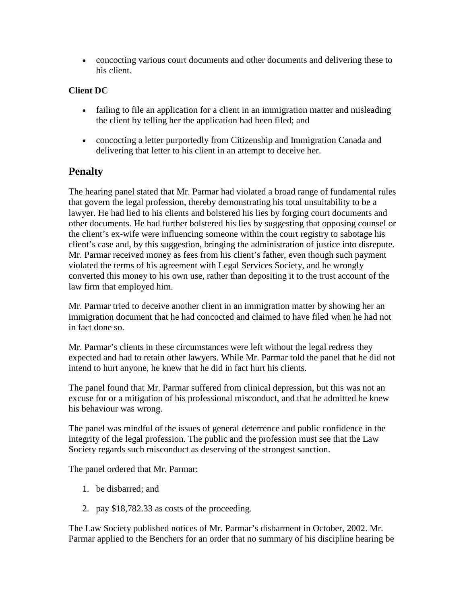• concocting various court documents and other documents and delivering these to his client.

### **Client DC**

- failing to file an application for a client in an immigration matter and misleading the client by telling her the application had been filed; and
- concocting a letter purportedly from Citizenship and Immigration Canada and delivering that letter to his client in an attempt to deceive her.

## **Penalty**

The hearing panel stated that Mr. Parmar had violated a broad range of fundamental rules that govern the legal profession, thereby demonstrating his total unsuitability to be a lawyer. He had lied to his clients and bolstered his lies by forging court documents and other documents. He had further bolstered his lies by suggesting that opposing counsel or the client's ex-wife were influencing someone within the court registry to sabotage his client's case and, by this suggestion, bringing the administration of justice into disrepute. Mr. Parmar received money as fees from his client's father, even though such payment violated the terms of his agreement with Legal Services Society, and he wrongly converted this money to his own use, rather than depositing it to the trust account of the law firm that employed him.

Mr. Parmar tried to deceive another client in an immigration matter by showing her an immigration document that he had concocted and claimed to have filed when he had not in fact done so.

Mr. Parmar's clients in these circumstances were left without the legal redress they expected and had to retain other lawyers. While Mr. Parmar told the panel that he did not intend to hurt anyone, he knew that he did in fact hurt his clients.

The panel found that Mr. Parmar suffered from clinical depression, but this was not an excuse for or a mitigation of his professional misconduct, and that he admitted he knew his behaviour was wrong.

The panel was mindful of the issues of general deterrence and public confidence in the integrity of the legal profession. The public and the profession must see that the Law Society regards such misconduct as deserving of the strongest sanction.

The panel ordered that Mr. Parmar:

- 1. be disbarred; and
- 2. pay \$18,782.33 as costs of the proceeding.

The Law Society published notices of Mr. Parmar's disbarment in October, 2002. Mr. Parmar applied to the Benchers for an order that no summary of his discipline hearing be